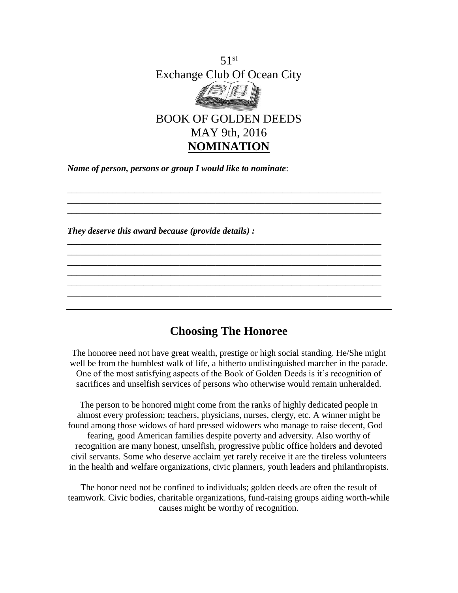

\_\_\_\_\_\_\_\_\_\_\_\_\_\_\_\_\_\_\_\_\_\_\_\_\_\_\_\_\_\_\_\_\_\_\_\_\_\_\_\_\_\_\_\_\_\_\_\_\_\_\_\_\_\_\_\_\_\_\_\_\_\_\_\_\_\_\_\_\_\_ \_\_\_\_\_\_\_\_\_\_\_\_\_\_\_\_\_\_\_\_\_\_\_\_\_\_\_\_\_\_\_\_\_\_\_\_\_\_\_\_\_\_\_\_\_\_\_\_\_\_\_\_\_\_\_\_\_\_\_\_\_\_\_\_\_\_\_\_\_\_ \_\_\_\_\_\_\_\_\_\_\_\_\_\_\_\_\_\_\_\_\_\_\_\_\_\_\_\_\_\_\_\_\_\_\_\_\_\_\_\_\_\_\_\_\_\_\_\_\_\_\_\_\_\_\_\_\_\_\_\_\_\_\_\_\_\_\_\_\_\_

\_\_\_\_\_\_\_\_\_\_\_\_\_\_\_\_\_\_\_\_\_\_\_\_\_\_\_\_\_\_\_\_\_\_\_\_\_\_\_\_\_\_\_\_\_\_\_\_\_\_\_\_\_\_\_\_\_\_\_\_\_\_\_\_\_\_\_\_\_\_ \_\_\_\_\_\_\_\_\_\_\_\_\_\_\_\_\_\_\_\_\_\_\_\_\_\_\_\_\_\_\_\_\_\_\_\_\_\_\_\_\_\_\_\_\_\_\_\_\_\_\_\_\_\_\_\_\_\_\_\_\_\_\_\_\_\_\_\_\_\_ \_\_\_\_\_\_\_\_\_\_\_\_\_\_\_\_\_\_\_\_\_\_\_\_\_\_\_\_\_\_\_\_\_\_\_\_\_\_\_\_\_\_\_\_\_\_\_\_\_\_\_\_\_\_\_\_\_\_\_\_\_\_\_\_\_\_\_\_\_\_ \_\_\_\_\_\_\_\_\_\_\_\_\_\_\_\_\_\_\_\_\_\_\_\_\_\_\_\_\_\_\_\_\_\_\_\_\_\_\_\_\_\_\_\_\_\_\_\_\_\_\_\_\_\_\_\_\_\_\_\_\_\_\_\_\_\_\_\_\_\_ \_\_\_\_\_\_\_\_\_\_\_\_\_\_\_\_\_\_\_\_\_\_\_\_\_\_\_\_\_\_\_\_\_\_\_\_\_\_\_\_\_\_\_\_\_\_\_\_\_\_\_\_\_\_\_\_\_\_\_\_\_\_\_\_\_\_\_\_\_\_ \_\_\_\_\_\_\_\_\_\_\_\_\_\_\_\_\_\_\_\_\_\_\_\_\_\_\_\_\_\_\_\_\_\_\_\_\_\_\_\_\_\_\_\_\_\_\_\_\_\_\_\_\_\_\_\_\_\_\_\_\_\_\_\_\_\_\_\_\_\_

*Name of person, persons or group I would like to nominate*:

*They deserve this award because (provide details) :*

## **Choosing The Honoree**

The honoree need not have great wealth, prestige or high social standing. He/She might well be from the humblest walk of life, a hitherto undistinguished marcher in the parade. One of the most satisfying aspects of the Book of Golden Deeds is it's recognition of sacrifices and unselfish services of persons who otherwise would remain unheralded.

The person to be honored might come from the ranks of highly dedicated people in almost every profession; teachers, physicians, nurses, clergy, etc. A winner might be found among those widows of hard pressed widowers who manage to raise decent, God – fearing, good American families despite poverty and adversity. Also worthy of recognition are many honest, unselfish, progressive public office holders and devoted civil servants. Some who deserve acclaim yet rarely receive it are the tireless volunteers in the health and welfare organizations, civic planners, youth leaders and philanthropists.

The honor need not be confined to individuals; golden deeds are often the result of teamwork. Civic bodies, charitable organizations, fund-raising groups aiding worth-while causes might be worthy of recognition.